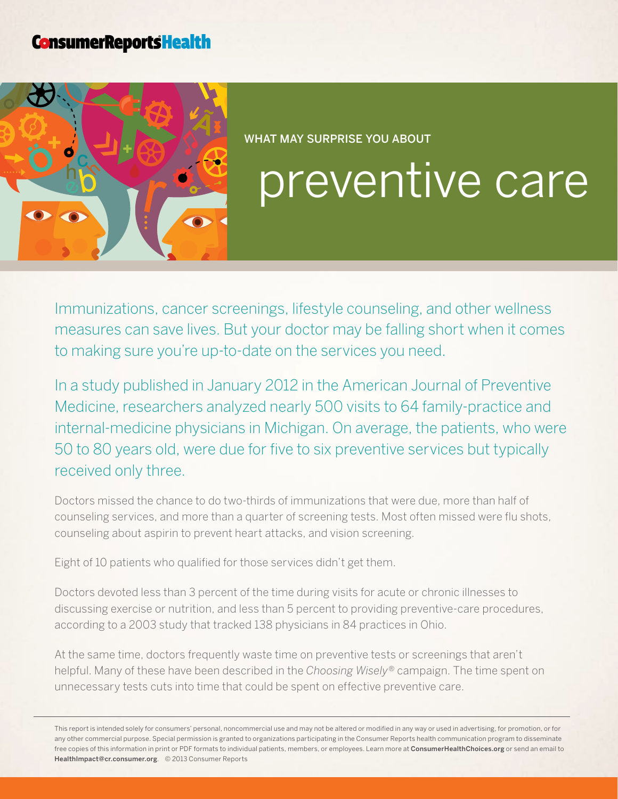## **ConsumerReportsHealth**



#### WHAT MAY SURPRISE YOU ABOUT

# preventive care

Immunizations, cancer screenings, lifestyle counseling, and other wellness measures can save lives. But your doctor may be falling short when it comes to making sure you're up-to-date on the services you need.

In a study published in January 2012 in the American Journal of Preventive Medicine, researchers analyzed nearly 500 visits to 64 family-practice and internal-medicine physicians in Michigan. On average, the patients, who were 50 to 80 years old, were due for five to six preventive services but typically received only three.

Doctors missed the chance to do two-thirds of immunizations that were due, more than half of counseling services, and more than a quarter of screening tests. Most often missed were flu shots, counseling about aspirin to prevent heart attacks, and vision screening.

Eight of 10 patients who qualified for those services didn't get them.

Doctors devoted less than 3 percent of the time during visits for acute or chronic illnesses to discussing exercise or nutrition, and less than 5 percent to providing preventive-care procedures, according to a 2003 study that tracked 138 physicians in 84 practices in Ohio.

At the same time, doctors frequently waste time on preventive tests or screenings that aren't helpful. Many of these have been described in the *Choosing Wisely®* campaign. The time spent on unnecessary tests cuts into time that could be spent on effective preventive care.

This report is intended solely for consumers' personal, noncommercial use and may not be altered or modified in any way or used in advertising, for promotion, or for any other commercial purpose. Special permission is granted to organizations participating in the Consumer Reports health communication program to disseminate free copies of this information in print or PDF formats to individual patients, members, or employees. Learn more at [ConsumerHealthChoices.org](http://www.ConsumerHealthChoices.org) or send an email to HealthImpact@cr.consumer.org. © 2013 Consumer Reports